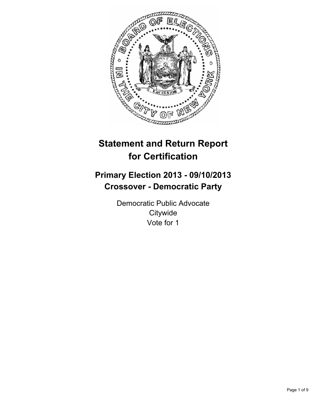

# **Statement and Return Report for Certification**

## **Primary Election 2013 - 09/10/2013 Crossover - Democratic Party**

Democratic Public Advocate **Citywide** Vote for 1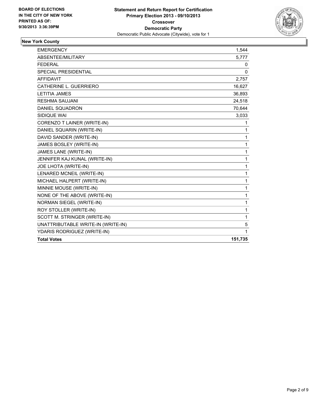

## **New York County**

| <b>EMERGENCY</b>                   | 1,544        |
|------------------------------------|--------------|
| ABSENTEE/MILITARY                  | 5,777        |
| <b>FEDERAL</b>                     | 0            |
| SPECIAL PRESIDENTIAL               | $\mathbf{0}$ |
| AFFIDAVIT                          | 2,757        |
| CATHERINE L. GUERRIERO             | 16,627       |
| <b>LETITIA JAMES</b>               | 36,893       |
| <b>RESHMA SAUJANI</b>              | 24,518       |
| <b>DANIEL SQUADRON</b>             | 70,644       |
| SIDIQUE WAI                        | 3,033        |
| CORENZO T LAINER (WRITE-IN)        | 1            |
| DANIEL SQUARIN (WRITE-IN)          | 1            |
| DAVID SANDER (WRITE-IN)            | 1            |
| JAMES BOSLEY (WRITE-IN)            | 1            |
| JAMES LANE (WRITE-IN)              | 1            |
| JENNIFER KAJ KUNAL (WRITE-IN)      | 1            |
| JOE LHOTA (WRITE-IN)               | 1            |
| LENARED MCNEIL (WRITE-IN)          | 1            |
| MICHAEL HALPERT (WRITE-IN)         | $\mathbf{1}$ |
| MINNIE MOUSE (WRITE-IN)            | 1            |
| NONE OF THE ABOVE (WRITE-IN)       | 1            |
| <b>NORMAN SIEGEL (WRITE-IN)</b>    | $\mathbf{1}$ |
| ROY STOLLER (WRITE-IN)             | 1            |
| SCOTT M. STRINGER (WRITE-IN)       | 1            |
| UNATTRIBUTABLE WRITE-IN (WRITE-IN) | 5            |
| YDARIS RODRIGUEZ (WRITE-IN)        | 1            |
| <b>Total Votes</b>                 | 151,735      |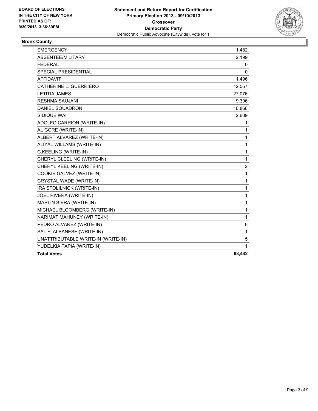

## **Bronx County**

| <b>EMERGENCY</b>                   | 1,482          |
|------------------------------------|----------------|
| ABSENTEE/MILITARY                  | 2,199          |
| <b>FEDERAL</b>                     | 0              |
| <b>SPECIAL PRESIDENTIAL</b>        | 0              |
| <b>AFFIDAVIT</b>                   | 1,496          |
| CATHERINE L. GUERRIERO             | 12,557         |
| <b>LETITIA JAMES</b>               | 27,076         |
| <b>RESHMA SAUJANI</b>              | 9,306          |
| <b>DANIEL SQUADRON</b>             | 16,866         |
| SIDIQUE WAI                        | 2,609          |
| ADOLFO CARRION (WRITE-IN)          | 1              |
| AL GORE (WRITE-IN)                 | 1              |
| ALBERT ALVAREZ (WRITE-IN)          | 1              |
| ALIYAL WILLAMS (WRITE-IN)          | 1              |
| C.KEELING (WRITE-IN)               | 1              |
| CHERYL CLEELING (WRITE-IN)         | 1              |
| CHERYL KEELING (WRITE-IN)          | $\overline{2}$ |
| COOKIE GALVEZ (WRITE-IN)           | 1              |
| CRYSTAL WADE (WRITE-IN)            | 1              |
| IRA STOLILNICK (WRITE-IN)          | 1              |
| JOEL RIVERA (WRITE-IN)             | 1              |
| MARLIN SIERA (WRITE-IN)            | 1              |
| MICHAEL BLOOMBERG (WRITE-IN)       | 1              |
| NARIMAT MAHUNEY (WRITE-IN)         | $\mathbf{1}$   |
| PEDRO ALVAREZ (WRITE-IN)           | 6              |
| SAL F. ALBANESE (WRITE-IN)         | 1              |
| UNATTRIBUTABLE WRITE-IN (WRITE-IN) | 5              |
| YUDELKIA TAPIA (WRITE-IN)          | 1              |
| <b>Total Votes</b>                 | 68,442         |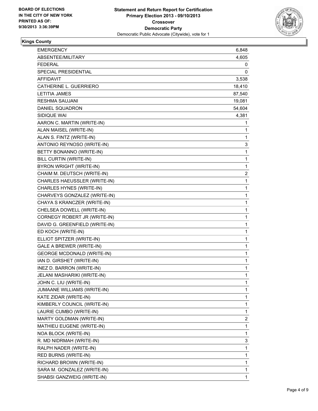

## **Kings County**

| <b>EMERGENCY</b>                  | 6,848        |
|-----------------------------------|--------------|
| ABSENTEE/MILITARY                 | 4,605        |
| FEDERAL                           | 0            |
| SPECIAL PRESIDENTIAL              | 0            |
| <b>AFFIDAVIT</b>                  | 3,538        |
| CATHERINE L. GUERRIERO            | 18,410       |
| <b>LETITIA JAMES</b>              | 87,540       |
| RESHMA SAUJANI                    | 19,081       |
| DANIEL SQUADRON                   | 54,604       |
| SIDIQUE WAI                       | 4,381        |
| AARON C. MARTIN (WRITE-IN)        | 1            |
| ALAN MAISEL (WRITE-IN)            | 1            |
| ALAN S. FINTZ (WRITE-IN)          | 1            |
| ANTONIO REYNOSO (WRITE-IN)        | 3            |
| BETTY BONANNO (WRITE-IN)          | 1            |
| BILL CURTIN (WRITE-IN)            | 1            |
| BYRON WRIGHT (WRITE-IN)           | $\mathbf{1}$ |
| CHAIM M. DEUTSCH (WRITE-IN)       | 2            |
| CHARLES HAEUSSLER (WRITE-IN)      | 1            |
| CHARLES HYNES (WRITE-IN)          | 1            |
| CHARVEYS GONZALEZ (WRITE-IN)      | 1            |
| CHAYA S KRANCZER (WRITE-IN)       | 1            |
| CHELSEA DOWELL (WRITE-IN)         | 1            |
| CORNEGY ROBERT JR (WRITE-IN)      | 1            |
| DAVID G. GREENFIELD (WRITE-IN)    | 1            |
| ED KOCH (WRITE-IN)                | 1            |
| ELLIOT SPITZER (WRITE-IN)         | 1            |
| <b>GALE A BREWER (WRITE-IN)</b>   | 1            |
| <b>GEORGE MCDONALD (WRITE-IN)</b> | 1            |
| IAN D. GIRSHET (WRITE-IN)         | 1            |
| INEZ D. BARRON (WRITE-IN)         | 1            |
| JELANI MASHARIKI (WRITE-IN)       | 1            |
| JOHN C. LIU (WRITE-IN)            | 1            |
| JUMAANE WILLIAMS (WRITE-IN)       | 1            |
| KATE ZIDAR (WRITE-IN)             | 1            |
| KIMBERLY COUNCIL (WRITE-IN)       | 1            |
| LAURIE CUMBO (WRITE-IN)           | 1            |
| MARTY GOLDMAN (WRITE-IN)          | 2            |
| MATHIEU EUGENE (WRITE-IN)         | 1            |
| NOA BLOCK (WRITE-IN)              | 1            |
| R. MD NIDRMAH (WRITE-IN)          | 3            |
| RALPH NADER (WRITE-IN)            | 1            |
| RED BURNS (WRITE-IN)              | 1            |
| RICHARD BROWN (WRITE-IN)          | 1            |
| SARA M. GONZALEZ (WRITE-IN)       | 1            |
| SHABSI GANZWEIG (WRITE-IN)        | 1            |
|                                   |              |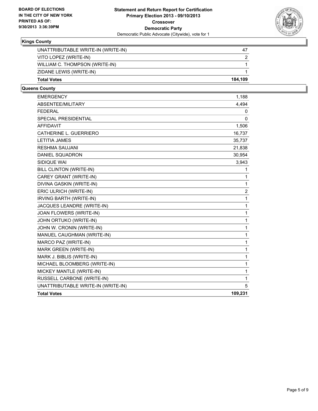

## **Kings County**

| <b>Total Votes</b>                 | 184.109 |
|------------------------------------|---------|
| ZIDANE LEWIS (WRITE-IN)            |         |
| WILLIAM C. THOMPSON (WRITE-IN)     |         |
| VITO LOPEZ (WRITE-IN)              |         |
| UNATTRIBUTABLE WRITE-IN (WRITE-IN) | 47      |

#### **Queens County**

| <b>EMERGENCY</b>                   | 1,188   |
|------------------------------------|---------|
| <b>ABSENTEE/MILITARY</b>           | 4,494   |
| <b>FEDERAL</b>                     | 0       |
| <b>SPECIAL PRESIDENTIAL</b>        | 0       |
| <b>AFFIDAVIT</b>                   | 1,506   |
| CATHERINE L. GUERRIERO             | 16,737  |
| <b>LETITIA JAMES</b>               | 35,737  |
| <b>RESHMA SAUJANI</b>              | 21,838  |
| <b>DANIEL SQUADRON</b>             | 30,954  |
| SIDIQUE WAI                        | 3,943   |
| BILL CLINTON (WRITE-IN)            | 1       |
| CAREY GRANT (WRITE-IN)             | 1       |
| DIVINA GASKIN (WRITE-IN)           | 1       |
| ERIC ULRICH (WRITE-IN)             | 2       |
| IRVING BARTH (WRITE-IN)            | 1       |
| JACQUES LEANDRE (WRITE-IN)         | 1       |
| JOAN FLOWERS (WRITE-IN)            | 1       |
| JOHN ORTUKO (WRITE-IN)             | 1       |
| JOHN W. CRONIN (WRITE-IN)          | 1       |
| MANUEL CAUGHMAN (WRITE-IN)         | 1       |
| MARCO PAZ (WRITE-IN)               | 1       |
| MARK GREEN (WRITE-IN)              | 1       |
| MARK J. BIBLIS (WRITE-IN)          | 1       |
| MICHAEL BLOOMBERG (WRITE-IN)       | 1       |
| MICKEY MANTLE (WRITE-IN)           | 1       |
| RUSSELL CARBONE (WRITE-IN)         | 1       |
| UNATTRIBUTABLE WRITE-IN (WRITE-IN) | 5       |
| <b>Total Votes</b>                 | 109,231 |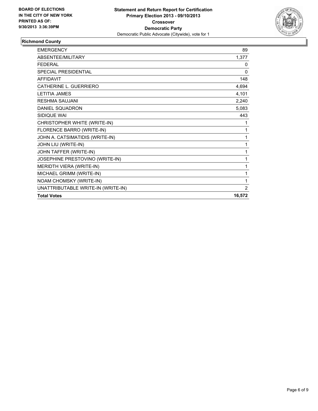

## **Richmond County**

| <b>EMERGENCY</b>                   | 89     |
|------------------------------------|--------|
| <b>ABSENTEE/MILITARY</b>           | 1,377  |
| <b>FEDERAL</b>                     | 0      |
| SPECIAL PRESIDENTIAL               | 0      |
| <b>AFFIDAVIT</b>                   | 148    |
| CATHERINE L. GUERRIERO             | 4,694  |
| <b>LETITIA JAMES</b>               | 4,101  |
| <b>RESHMA SAUJANI</b>              | 2,240  |
| DANIEL SQUADRON                    | 5,083  |
| SIDIQUE WAI                        | 443    |
| CHRISTOPHER WHITE (WRITE-IN)       | 1      |
| FLORENCE BARRO (WRITE-IN)          | 1      |
| JOHN A. CATSIMATIDIS (WRITE-IN)    | 1      |
| JOHN LIU (WRITE-IN)                | 1      |
| JOHN TAFFER (WRITE-IN)             | 1      |
| JOSEPHINE PRESTOVINO (WRITE-IN)    | 1      |
| <b>MERIDTH VIERA (WRITE-IN)</b>    | 1      |
| MICHAEL GRIMM (WRITE-IN)           | 1      |
| NOAM CHOMSKY (WRITE-IN)            | 1      |
| UNATTRIBUTABLE WRITE-IN (WRITE-IN) | 2      |
| <b>Total Votes</b>                 | 16,572 |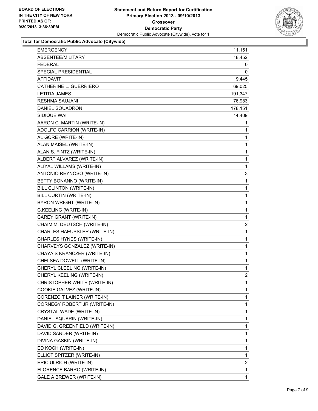

## **Total for Democratic Public Advocate (Citywide)**

| <b>EMERGENCY</b>                | 11,151         |
|---------------------------------|----------------|
| ABSENTEE/MILITARY               | 18,452         |
| FEDERAL                         | 0              |
| SPECIAL PRESIDENTIAL            | 0              |
| <b>AFFIDAVIT</b>                | 9,445          |
| CATHERINE L. GUERRIERO          | 69,025         |
| <b>LETITIA JAMES</b>            | 191,347        |
| <b>RESHMA SAUJANI</b>           | 76,983         |
| DANIEL SQUADRON                 | 178,151        |
| SIDIQUE WAI                     | 14,409         |
| AARON C. MARTIN (WRITE-IN)      | 1              |
| ADOLFO CARRION (WRITE-IN)       | 1              |
| AL GORE (WRITE-IN)              | 1              |
| ALAN MAISEL (WRITE-IN)          | 1              |
| ALAN S. FINTZ (WRITE-IN)        | 1              |
| ALBERT ALVAREZ (WRITE-IN)       | 1              |
| ALIYAL WILLAMS (WRITE-IN)       | 1              |
| ANTONIO REYNOSO (WRITE-IN)      | 3              |
| BETTY BONANNO (WRITE-IN)        | 1              |
| BILL CLINTON (WRITE-IN)         | 1              |
| BILL CURTIN (WRITE-IN)          | 1              |
| BYRON WRIGHT (WRITE-IN)         | 1              |
| C.KEELING (WRITE-IN)            | 1              |
| CAREY GRANT (WRITE-IN)          | $\mathbf{1}$   |
| CHAIM M. DEUTSCH (WRITE-IN)     | 2              |
| CHARLES HAEUSSLER (WRITE-IN)    | 1              |
| CHARLES HYNES (WRITE-IN)        | 1              |
| CHARVEYS GONZALEZ (WRITE-IN)    | 1              |
| CHAYA S KRANCZER (WRITE-IN)     | 1              |
| CHELSEA DOWELL (WRITE-IN)       | $\mathbf{1}$   |
| CHERYL CLEELING (WRITE-IN)      | 1              |
| CHERYL KEELING (WRITE-IN)       | $\overline{2}$ |
| CHRISTOPHER WHITE (WRITE-IN)    | 1              |
| COOKIE GALVEZ (WRITE-IN)        | 1              |
| CORENZO T LAINER (WRITE-IN)     | 1              |
| CORNEGY ROBERT JR (WRITE-IN)    | 1              |
| CRYSTAL WADE (WRITE-IN)         | 1              |
| DANIEL SQUARIN (WRITE-IN)       | 1              |
| DAVID G. GREENFIELD (WRITE-IN)  | 1              |
| DAVID SANDER (WRITE-IN)         | 1              |
| DIVINA GASKIN (WRITE-IN)        | 1              |
| ED KOCH (WRITE-IN)              | 1              |
| ELLIOT SPITZER (WRITE-IN)       | 1              |
| ERIC ULRICH (WRITE-IN)          | $\overline{2}$ |
| FLORENCE BARRO (WRITE-IN)       | 1              |
|                                 |                |
| <b>GALE A BREWER (WRITE-IN)</b> | 1              |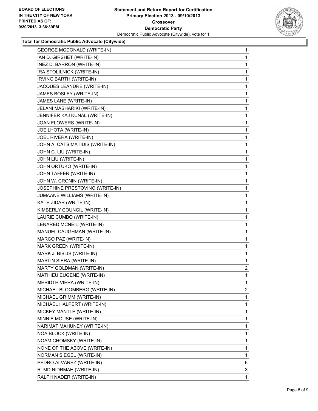

#### **Total for Democratic Public Advocate (Citywide)**

| <b>GEORGE MCDONALD (WRITE-IN)</b> | 1            |
|-----------------------------------|--------------|
| IAN D. GIRSHET (WRITE-IN)         | 1            |
| INEZ D. BARRON (WRITE-IN)         | 1            |
| IRA STOLILNICK (WRITE-IN)         | 1            |
| IRVING BARTH (WRITE-IN)           | 1            |
| JACQUES LEANDRE (WRITE-IN)        | 1            |
| JAMES BOSLEY (WRITE-IN)           | 1            |
| JAMES LANE (WRITE-IN)             | 1            |
| JELANI MASHARIKI (WRITE-IN)       | 1            |
| JENNIFER KAJ KUNAL (WRITE-IN)     | 1            |
| JOAN FLOWERS (WRITE-IN)           | 1            |
| JOE LHOTA (WRITE-IN)              | 1            |
| JOEL RIVERA (WRITE-IN)            | 1            |
| JOHN A. CATSIMATIDIS (WRITE-IN)   | 1            |
| JOHN C. LIU (WRITE-IN)            | 1            |
| JOHN LIU (WRITE-IN)               | 1            |
| JOHN ORTUKO (WRITE-IN)            | 1            |
| JOHN TAFFER (WRITE-IN)            | 1            |
| JOHN W. CRONIN (WRITE-IN)         | 1            |
| JOSEPHINE PRESTOVINO (WRITE-IN)   | 1            |
| JUMAANE WILLIAMS (WRITE-IN)       | 1            |
| KATE ZIDAR (WRITE-IN)             | 1            |
| KIMBERLY COUNCIL (WRITE-IN)       | 1            |
| LAURIE CUMBO (WRITE-IN)           | 1            |
| LENARED MCNEIL (WRITE-IN)         | 1            |
| MANUEL CAUGHMAN (WRITE-IN)        | 1            |
| MARCO PAZ (WRITE-IN)              | 1            |
| MARK GREEN (WRITE-IN)             | 1            |
| MARK J. BIBLIS (WRITE-IN)         | 1            |
| MARLIN SIERA (WRITE-IN)           | 1            |
| MARTY GOLDMAN (WRITE-IN)          | $\mathbf{2}$ |
| MATHIEU EUGENE (WRITE-IN)         | 1            |
| <b>MERIDTH VIERA (WRITE-IN)</b>   | 1            |
| MICHAEL BLOOMBERG (WRITE-IN)      | $\mathbf{2}$ |
| MICHAEL GRIMM (WRITE-IN)          | 1            |
| MICHAEL HALPERT (WRITE-IN)        | 1            |
| MICKEY MANTLE (WRITE-IN)          | 1            |
| MINNIE MOUSE (WRITE-IN)           | 1            |
| NARIMAT MAHUNEY (WRITE-IN)        | 1            |
| NOA BLOCK (WRITE-IN)              | 1            |
| NOAM CHOMSKY (WRITE-IN)           | 1            |
| NONE OF THE ABOVE (WRITE-IN)      | 1            |
| NORMAN SIEGEL (WRITE-IN)          | 1            |
| PEDRO ALVAREZ (WRITE-IN)          | 6            |
| R. MD NIDRMAH (WRITE-IN)          | 3            |
| RALPH NADER (WRITE-IN)            | 1            |
|                                   |              |